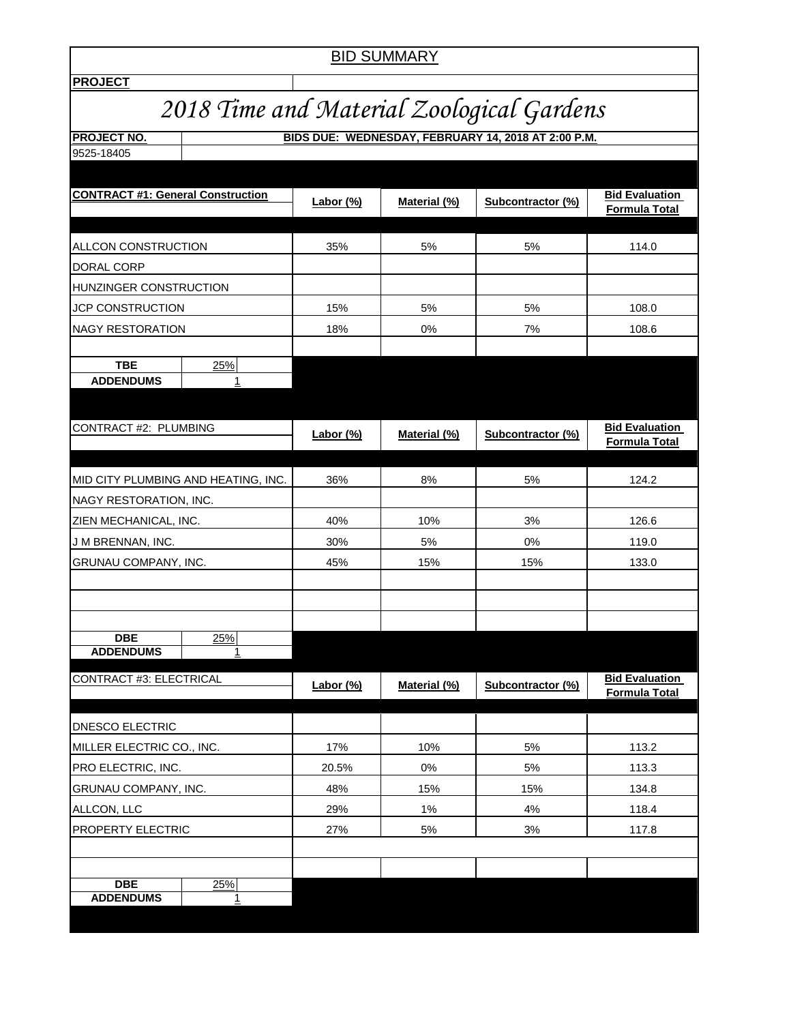| <b>BID SUMMARY</b>                                                        |           |           |              |                   |                                               |  |  |  |  |
|---------------------------------------------------------------------------|-----------|-----------|--------------|-------------------|-----------------------------------------------|--|--|--|--|
| <b>PROJECT</b>                                                            |           |           |              |                   |                                               |  |  |  |  |
| 2018 Time and Material Zoological Gardens                                 |           |           |              |                   |                                               |  |  |  |  |
| BIDS DUE: WEDNESDAY, FEBRUARY 14, 2018 AT 2:00 P.M.<br><b>PROJECT NO.</b> |           |           |              |                   |                                               |  |  |  |  |
| 9525-18405                                                                |           |           |              |                   |                                               |  |  |  |  |
|                                                                           |           |           |              |                   |                                               |  |  |  |  |
| <b>CONTRACT #1: General Construction</b>                                  |           | Labor (%) | Material (%) | Subcontractor (%) | <b>Bid Evaluation</b><br>Formula Total        |  |  |  |  |
|                                                                           |           |           |              |                   |                                               |  |  |  |  |
| ALLCON CONSTRUCTION                                                       |           | 35%       | 5%           | 5%                | 114.0                                         |  |  |  |  |
| DORAL CORP<br>HUNZINGER CONSTRUCTION                                      |           |           |              |                   |                                               |  |  |  |  |
| <b>JCP CONSTRUCTION</b>                                                   |           | 15%       | 5%           | 5%                | 108.0                                         |  |  |  |  |
| <b>NAGY RESTORATION</b>                                                   |           | 18%       | 0%           | 7%                | 108.6                                         |  |  |  |  |
|                                                                           |           |           |              |                   |                                               |  |  |  |  |
| <b>TBE</b>                                                                | 25%       |           |              |                   |                                               |  |  |  |  |
| <b>ADDENDUMS</b>                                                          | 1         |           |              |                   |                                               |  |  |  |  |
|                                                                           |           |           |              |                   |                                               |  |  |  |  |
| CONTRACT #2: PLUMBING                                                     |           |           |              |                   | <b>Bid Evaluation</b>                         |  |  |  |  |
|                                                                           |           | Labor (%) | Material (%) | Subcontractor (%) | Formula Total                                 |  |  |  |  |
|                                                                           |           |           |              |                   |                                               |  |  |  |  |
| MID CITY PLUMBING AND HEATING, INC.                                       |           | 36%       | 8%           | 5%                | 124.2                                         |  |  |  |  |
| NAGY RESTORATION, INC.                                                    |           |           |              |                   |                                               |  |  |  |  |
| ZIEN MECHANICAL, INC.                                                     |           | 40%       | 10%          | 3%                | 126.6                                         |  |  |  |  |
| J M BRENNAN, INC.                                                         |           | 30%       | 5%           | 0%                | 119.0                                         |  |  |  |  |
| GRUNAU COMPANY, INC.                                                      |           | 45%       | 15%          | 15%               | 133.0                                         |  |  |  |  |
|                                                                           |           |           |              |                   |                                               |  |  |  |  |
|                                                                           |           |           |              |                   |                                               |  |  |  |  |
| <b>DBE</b>                                                                | 25%       |           |              |                   |                                               |  |  |  |  |
| <b>ADDENDUMS</b>                                                          | 1         |           |              |                   |                                               |  |  |  |  |
| <b>CONTRACT #3: ELECTRICAL</b>                                            |           | Labor (%) | Material (%) | Subcontractor (%) | <b>Bid Evaluation</b><br><b>Formula Total</b> |  |  |  |  |
| DNESCO ELECTRIC                                                           |           |           |              |                   |                                               |  |  |  |  |
| MILLER ELECTRIC CO., INC.                                                 |           | 17%       | 10%          | 5%                | 113.2                                         |  |  |  |  |
| PRO ELECTRIC, INC.                                                        |           | 20.5%     | 0%           | 5%                | 113.3                                         |  |  |  |  |
| GRUNAU COMPANY, INC.                                                      |           | 48%       | 15%          | 15%               | 134.8                                         |  |  |  |  |
| ALLCON, LLC                                                               |           | 29%       | $1\%$        | 4%                | 118.4                                         |  |  |  |  |
| PROPERTY ELECTRIC                                                         |           | 27%       | 5%           | 3%                | 117.8                                         |  |  |  |  |
|                                                                           |           |           |              |                   |                                               |  |  |  |  |
|                                                                           |           |           |              |                   |                                               |  |  |  |  |
| <b>DBE</b><br><b>ADDENDUMS</b>                                            | 25%<br>1. |           |              |                   |                                               |  |  |  |  |
|                                                                           |           |           |              |                   |                                               |  |  |  |  |